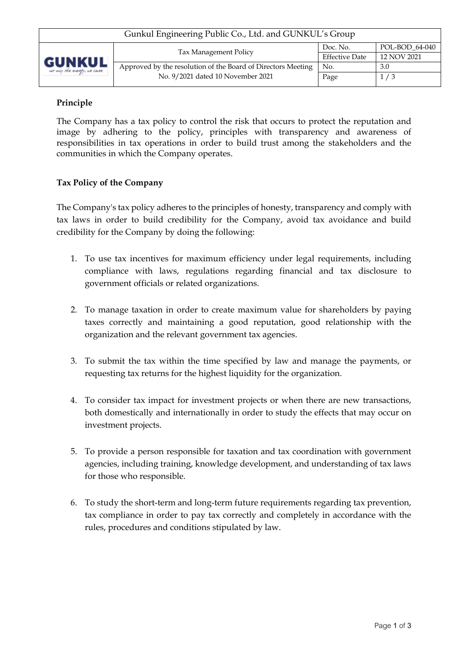# **Principle**

The Company has a tax policy to control the risk that occurs to protect the reputation and image by adhering to the policy, principles with transparency and awareness of responsibilities in tax operations in order to build trust among the stakeholders and the communities in which the Company operates.

# **Tax Policy of the Company**

The Company's tax policy adheres to the principles of honesty, transparency and comply with tax laws in order to build credibility for the Company, avoid tax avoidance and build credibility for the Company by doing the following:

- 1. To use tax incentives for maximum efficiency under legal requirements, including compliance with laws, regulations regarding financial and tax disclosure to government officials or related organizations.
- 2. To manage taxation in order to create maximum value for shareholders by paying taxes correctly and maintaining a good reputation, good relationship with the organization and the relevant government tax agencies.
- 3. To submit the tax within the time specified by law and manage the payments, or requesting tax returns for the highest liquidity for the organization.
- 4. To consider tax impact for investment projects or when there are new transactions, both domestically and internationally in order to study the effects that may occur on investment projects.
- 5. To provide a person responsible for taxation and tax coordination with government agencies, including training, knowledge development, and understanding of tax laws for those who responsible.
- 6. To study the short-term and long-term future requirements regarding tax prevention, tax compliance in order to pay tax correctly and completely in accordance with the rules, procedures and conditions stipulated by law.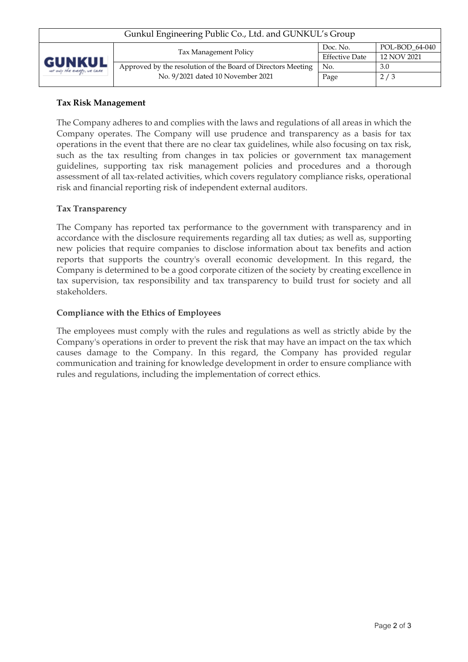| Gunkul Engineering Public Co., Ltd. and GUNKUL's Group |                                                              |                       |                |  |  |  |  |
|--------------------------------------------------------|--------------------------------------------------------------|-----------------------|----------------|--|--|--|--|
| <b>GUNKUL</b><br>ver only the energy, we case          | Tax Management Policy                                        | Doc. No.              | POL-BOD_64-040 |  |  |  |  |
|                                                        |                                                              | <b>Effective Date</b> | 12 NOV 2021    |  |  |  |  |
|                                                        | Approved by the resolution of the Board of Directors Meeting | No.                   | 3.0            |  |  |  |  |
|                                                        | No. 9/2021 dated 10 November 2021                            | Page                  | 2/3            |  |  |  |  |
|                                                        |                                                              |                       |                |  |  |  |  |

### **Tax Risk Management**

The Company adheres to and complies with the laws and regulations of all areas in which the Company operates. The Company will use prudence and transparency as a basis for tax operations in the event that there are no clear tax guidelines, while also focusing on tax risk, such as the tax resulting from changes in tax policies or government tax management guidelines, supporting tax risk management policies and procedures and a thorough assessment of all tax-related activities, which covers regulatory compliance risks, operational risk and financial reporting risk of independent external auditors.

# **Tax Transparency**

The Company has reported tax performance to the government with transparency and in accordance with the disclosure requirements regarding all tax duties; as well as, supporting new policies that require companies to disclose information about tax benefits and action reports that supports the country's overall economic development. In this regard, the Company is determined to be a good corporate citizen of the society by creating excellence in tax supervision, tax responsibility and tax transparency to build trust for society and all stakeholders.

#### **Compliance with the Ethics of Employees**

The employees must comply with the rules and regulations as well as strictly abide by the Company's operations in order to prevent the risk that may have an impact on the tax which causes damage to the Company. In this regard, the Company has provided regular communication and training for knowledge development in order to ensure compliance with rules and regulations, including the implementation of correct ethics.